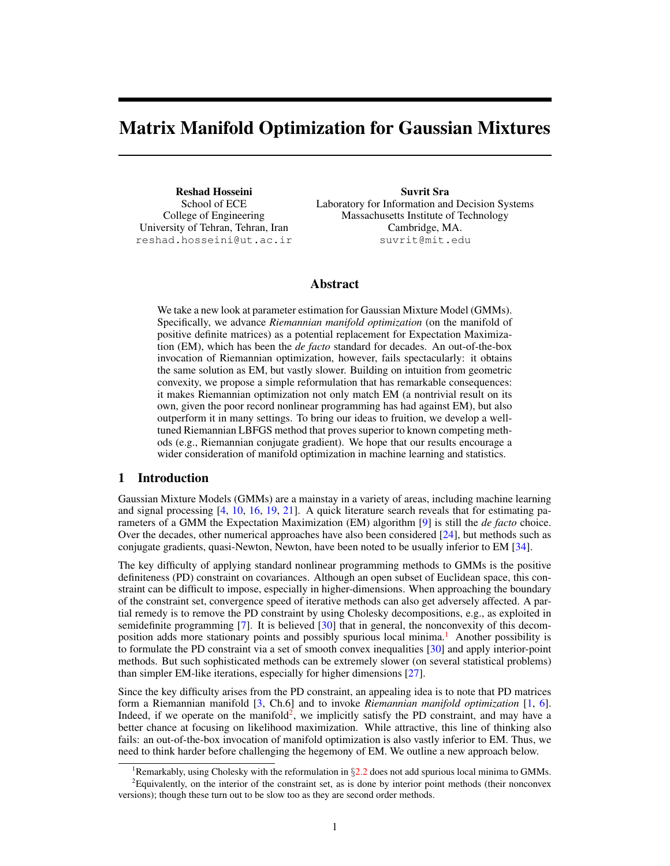# Matrix Manifold Optimization for Gaussian Mixtures

Reshad Hosseini School of ECE College of Engineering University of Tehran, Tehran, Iran reshad.hosseini@ut.ac.ir

Suvrit Sra Laboratory for Information and Decision Systems Massachusetts Institute of Technology Cambridge, MA. suvrit@mit.edu

# Abstract

We take a new look at parameter estimation for Gaussian Mixture Model (GMMs). Specifically, we advance *Riemannian manifold optimization* (on the manifold of positive definite matrices) as a potential replacement for Expectation Maximization (EM), which has been the *de facto* standard for decades. An out-of-the-box invocation of Riemannian optimization, however, fails spectacularly: it obtains the same solution as EM, but vastly slower. Building on intuition from geometric convexity, we propose a simple reformulation that has remarkable consequences: it makes Riemannian optimization not only match EM (a nontrivial result on its own, given the poor record nonlinear programming has had against EM), but also outperform it in many settings. To bring our ideas to fruition, we develop a welltuned Riemannian LBFGS method that proves superior to known competing methods (e.g., Riemannian conjugate gradient). We hope that our results encourage a wider consideration of manifold optimization in machine learning and statistics.

# 1 Introduction

Gaussian Mixture Models (GMMs) are a mainstay in a variety of areas, including machine learning and signal processing [\[4,](#page-8-0) [10,](#page-8-1) [16,](#page-8-2) [19,](#page-8-3) [21\]](#page-8-4). A quick literature search reveals that for estimating parameters of a GMM the Expectation Maximization (EM) algorithm [\[9\]](#page-8-5) is still the *de facto* choice. Over the decades, other numerical approaches have also been considered [\[24\]](#page-8-6), but methods such as conjugate gradients, quasi-Newton, Newton, have been noted to be usually inferior to EM [\[34\]](#page-8-7).

The key difficulty of applying standard nonlinear programming methods to GMMs is the positive definiteness (PD) constraint on covariances. Although an open subset of Euclidean space, this constraint can be difficult to impose, especially in higher-dimensions. When approaching the boundary of the constraint set, convergence speed of iterative methods can also get adversely affected. A partial remedy is to remove the PD constraint by using Cholesky decompositions, e.g., as exploited in semidefinite programming [\[7\]](#page-8-8). It is believed [\[30\]](#page-8-9) that in general, the nonconvexity of this decom-position adds more stationary points and possibly spurious local minima.<sup>[1](#page-0-0)</sup> Another possibility is to formulate the PD constraint via a set of smooth convex inequalities [\[30\]](#page-8-9) and apply interior-point methods. But such sophisticated methods can be extremely slower (on several statistical problems) than simpler EM-like iterations, especially for higher dimensions [\[27\]](#page-8-10).

Since the key difficulty arises from the PD constraint, an appealing idea is to note that PD matrices form a Riemannian manifold [\[3,](#page-8-11) Ch.6] and to invoke *Riemannian manifold optimization* [\[1,](#page-8-12) [6\]](#page-8-13). Indeed, if we operate on the manifold<sup>[2](#page-0-1)</sup>, we implicitly satisfy the PD constraint, and may have a better chance at focusing on likelihood maximization. While attractive, this line of thinking also fails: an out-of-the-box invocation of manifold optimization is also vastly inferior to EM. Thus, we need to think harder before challenging the hegemony of EM. We outline a new approach below.

<span id="page-0-1"></span><span id="page-0-0"></span><sup>&</sup>lt;sup>1</sup>Remarkably, using Cholesky with the reformulation in  $\S2.2$  $\S2.2$  does not add spurious local minima to GMMs.

<sup>&</sup>lt;sup>2</sup>Equivalently, on the interior of the constraint set, as is done by interior point methods (their nonconvex versions); though these turn out to be slow too as they are second order methods.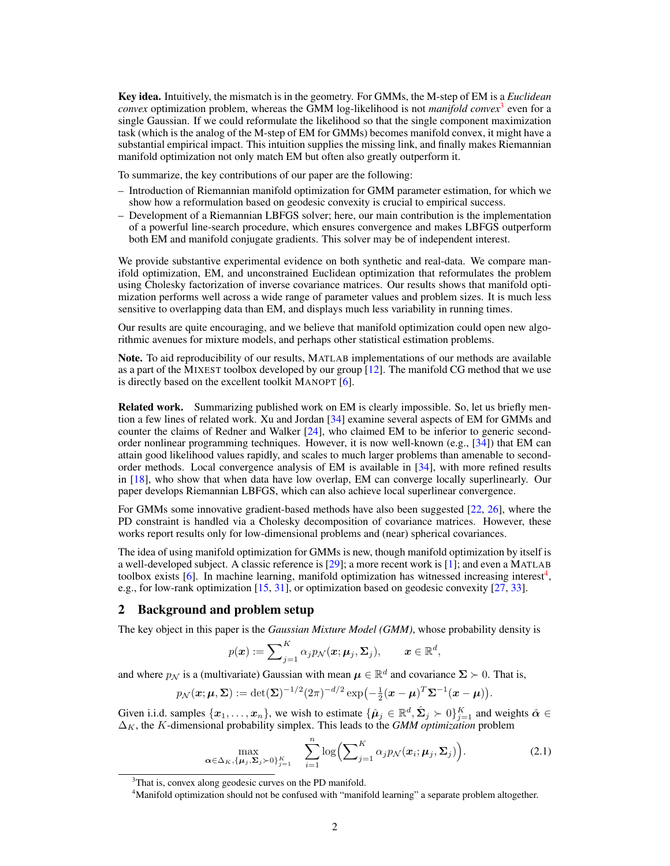Key idea. Intuitively, the mismatch is in the geometry. For GMMs, the M-step of EM is a *Euclidean convex* optimization problem, whereas the GMM log-likelihood is not *manifold convex*[3](#page-1-0) even for a single Gaussian. If we could reformulate the likelihood so that the single component maximization task (which is the analog of the M-step of EM for GMMs) becomes manifold convex, it might have a substantial empirical impact. This intuition supplies the missing link, and finally makes Riemannian manifold optimization not only match EM but often also greatly outperform it.

To summarize, the key contributions of our paper are the following:

- Introduction of Riemannian manifold optimization for GMM parameter estimation, for which we show how a reformulation based on geodesic convexity is crucial to empirical success.
- Development of a Riemannian LBFGS solver; here, our main contribution is the implementation of a powerful line-search procedure, which ensures convergence and makes LBFGS outperform both EM and manifold conjugate gradients. This solver may be of independent interest.

We provide substantive experimental evidence on both synthetic and real-data. We compare manifold optimization, EM, and unconstrained Euclidean optimization that reformulates the problem using Cholesky factorization of inverse covariance matrices. Our results shows that manifold optimization performs well across a wide range of parameter values and problem sizes. It is much less sensitive to overlapping data than EM, and displays much less variability in running times.

Our results are quite encouraging, and we believe that manifold optimization could open new algorithmic avenues for mixture models, and perhaps other statistical estimation problems.

Note. To aid reproducibility of our results, MATLAB implementations of our methods are available as a part of the MIXEST toolbox developed by our group [\[12\]](#page-8-14). The manifold CG method that we use is directly based on the excellent toolkit MANOPT [\[6\]](#page-8-13).

Related work. Summarizing published work on EM is clearly impossible. So, let us briefly mention a few lines of related work. Xu and Jordan [\[34\]](#page-8-7) examine several aspects of EM for GMMs and counter the claims of Redner and Walker [\[24\]](#page-8-6), who claimed EM to be inferior to generic secondorder nonlinear programming techniques. However, it is now well-known (e.g., [\[34\]](#page-8-7)) that EM can attain good likelihood values rapidly, and scales to much larger problems than amenable to secondorder methods. Local convergence analysis of EM is available in [\[34\]](#page-8-7), with more refined results in [\[18\]](#page-8-15), who show that when data have low overlap, EM can converge locally superlinearly. Our paper develops Riemannian LBFGS, which can also achieve local superlinear convergence.

For GMMs some innovative gradient-based methods have also been suggested [\[22,](#page-8-16) [26\]](#page-8-17), where the PD constraint is handled via a Cholesky decomposition of covariance matrices. However, these works report results only for low-dimensional problems and (near) spherical covariances.

The idea of using manifold optimization for GMMs is new, though manifold optimization by itself is a well-developed subject. A classic reference is [\[29\]](#page-8-18); a more recent work is [\[1\]](#page-8-12); and even a MATLAB toolbox exists [\[6\]](#page-8-13). In machine learning, manifold optimization has witnessed increasing interest<sup>[4](#page-1-1)</sup>, e.g., for low-rank optimization [\[15,](#page-8-19) [31\]](#page-8-20), or optimization based on geodesic convexity [\[27,](#page-8-10) [33\]](#page-8-21).

## 2 Background and problem setup

The key object in this paper is the *Gaussian Mixture Model (GMM)*, whose probability density is

$$
p(\boldsymbol{x}) := \sum\nolimits_{j=1}^K \alpha_j p_{\mathcal{N}}(\boldsymbol{x};\boldsymbol{\mu}_j,\boldsymbol{\Sigma}_j), \qquad \boldsymbol{x} \in \mathbb{R}^d,
$$

and where  $p_{\mathcal{N}}$  is a (multivariate) Gaussian with mean  $\mu \in \mathbb{R}^d$  and covariance  $\Sigma \succ 0$ . That is,

$$
p_{\mathcal{N}}(\boldsymbol{x}; \boldsymbol{\mu}, \boldsymbol{\Sigma}) := \det(\boldsymbol{\Sigma})^{-1/2} (2\pi)^{-d/2} \exp\left(-\frac{1}{2}(\boldsymbol{x} - \boldsymbol{\mu})^T \boldsymbol{\Sigma}^{-1} (\boldsymbol{x} - \boldsymbol{\mu})\right).
$$

Given i.i.d. samples  $\{x_1, \ldots, x_n\}$ , we wish to estimate  $\{\hat{\mu}_j \in \mathbb{R}^d, \hat{\Sigma}_j \succ 0\}_{j=1}^K$  and weights  $\hat{\alpha} \in$  $\Delta_K$ , the K-dimensional probability simplex. This leads to the *GMM optimization* problem

<span id="page-1-2"></span>
$$
\max_{\boldsymbol{\alpha} \in \Delta_K, \{\boldsymbol{\mu}_j, \boldsymbol{\Sigma}_j \succ 0\}_{j=1}^K} \quad \sum_{i=1}^n \log \left( \sum_{j=1}^K \alpha_j p_{\mathcal{N}}(\boldsymbol{x}_i; \boldsymbol{\mu}_j, \boldsymbol{\Sigma}_j) \right).
$$
 (2.1)

<span id="page-1-0"></span><sup>&</sup>lt;sup>3</sup>That is, convex along geodesic curves on the PD manifold.

<span id="page-1-1"></span><sup>4</sup>Manifold optimization should not be confused with "manifold learning" a separate problem altogether.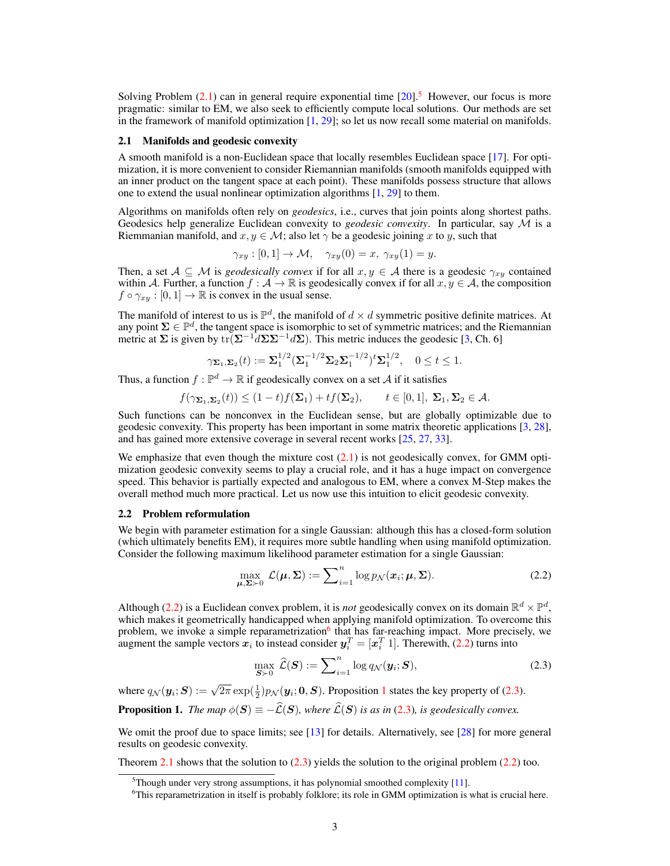Solving Problem  $(2.1)$  can in general require exponential time  $[20]$ <sup>[5](#page-2-1)</sup>. However, our focus is more pragmatic: similar to EM, we also seek to efficiently compute local solutions. Our methods are set in the framework of manifold optimization  $[1, 29]$  $[1, 29]$  $[1, 29]$ ; so let us now recall some material on manifolds.

#### 2.1 Manifolds and geodesic convexity

A smooth manifold is a non-Euclidean space that locally resembles Euclidean space [\[17\]](#page-8-23). For optimization, it is more convenient to consider Riemannian manifolds (smooth manifolds equipped with an inner product on the tangent space at each point). These manifolds possess structure that allows one to extend the usual nonlinear optimization algorithms  $[1, 29]$  $[1, 29]$  $[1, 29]$  to them.

Algorithms on manifolds often rely on *geodesics*, i.e., curves that join points along shortest paths. Geodesics help generalize Euclidean convexity to *geodesic convexity*. In particular, say M is a Riemmanian manifold, and  $x, y \in \mathcal{M}$ ; also let  $\gamma$  be a geodesic joining x to y, such that

$$
\gamma_{xy} : [0,1] \to \mathcal{M}, \quad \gamma_{xy}(0) = x, \ \gamma_{xy}(1) = y.
$$

Then, a set  $A \subseteq M$  is *geodesically convex* if for all  $x, y \in A$  there is a geodesic  $\gamma_{xy}$  contained within A. Further, a function  $f : \mathcal{A} \to \mathbb{R}$  is geodesically convex if for all  $x, y \in \mathcal{A}$ , the composition  $f \circ \gamma_{x,y} : [0,1] \to \mathbb{R}$  is convex in the usual sense.

The manifold of interest to us is  $\mathbb{P}^d$ , the manifold of  $d \times d$  symmetric positive definite matrices. At any point  $\Sigma \in \mathbb{P}^d$ , the tangent space is isomorphic to set of symmetric matrices; and the Riemannian metric at  $\Sigma$  is given by tr( $\Sigma^{-1}d\Sigma\Sigma^{-1}d\Sigma$ ). This metric induces the geodesic [\[3,](#page-8-11) Ch. 6]

$$
\gamma_{\Sigma_1,\Sigma_2}(t) := \Sigma_1^{1/2} (\Sigma_1^{-1/2} \Sigma_2 \Sigma_1^{-1/2})^t \Sigma_1^{1/2}, \quad 0 \le t \le 1.
$$

Thus, a function  $f : \mathbb{P}^d \to \mathbb{R}$  if geodesically convex on a set A if it satisfies

$$
f(\gamma_{\Sigma_1,\Sigma_2}(t)) \le (1-t)f(\Sigma_1)+tf(\Sigma_2), \qquad t \in [0,1], \ \Sigma_1, \Sigma_2 \in \mathcal{A}.
$$

Such functions can be nonconvex in the Euclidean sense, but are globally optimizable due to geodesic convexity. This property has been important in some matrix theoretic applications [\[3,](#page-8-11) [28\]](#page-8-24), and has gained more extensive coverage in several recent works [\[25,](#page-8-25) [27,](#page-8-10) [33\]](#page-8-21).

We emphasize that even though the mixture cost  $(2.1)$  is not geodesically convex, for GMM optimization geodesic convexity seems to play a crucial role, and it has a huge impact on convergence speed. This behavior is partially expected and analogous to EM, where a convex M-Step makes the overall method much more practical. Let us now use this intuition to elicit geodesic convexity.

#### <span id="page-2-0"></span>2.2 Problem reformulation

We begin with parameter estimation for a single Gaussian: although this has a closed-form solution (which ultimately benefits EM), it requires more subtle handling when using manifold optimization. Consider the following maximum likelihood parameter estimation for a single Gaussian:

<span id="page-2-2"></span>
$$
\max_{\mu,\Sigma\succ 0} \mathcal{L}(\mu,\Sigma) := \sum_{i=1}^n \log p_{\mathcal{N}}(\boldsymbol{x}_i;\mu,\Sigma). \tag{2.2}
$$

Although [\(2.2\)](#page-2-2) is a Euclidean convex problem, it is *not* geodesically convex on its domain  $\mathbb{R}^d \times \mathbb{P}^d$ , which makes it geometrically handicapped when applying manifold optimization. To overcome this problem, we invoke a simple reparametrization<sup>[6](#page-2-3)</sup> that has far-reaching impact. More precisely, we augment the sample vectors  $x_i$  to instead consider  $y_i^T = [x_i^T 1]$ . Therewith, [\(2.2\)](#page-2-2) turns into

<span id="page-2-5"></span>
$$
\max_{\mathbf{S}\succ\mathbf{0}}\hat{\mathcal{L}}(\mathbf{S}):=\sum_{i=1}^{n}\log q_{\mathcal{N}}(\mathbf{y}_i;\mathbf{S}),\tag{2.3}
$$

where  $q_N(\mathbf{y}_i; \mathbf{S}) := \sqrt{2\pi} \exp(\frac{1}{2}) p_N(\mathbf{y}_i; \mathbf{0}, \mathbf{S})$  $q_N(\mathbf{y}_i; \mathbf{S}) := \sqrt{2\pi} \exp(\frac{1}{2}) p_N(\mathbf{y}_i; \mathbf{0}, \mathbf{S})$  $q_N(\mathbf{y}_i; \mathbf{S}) := \sqrt{2\pi} \exp(\frac{1}{2}) p_N(\mathbf{y}_i; \mathbf{0}, \mathbf{S})$ . Proposition 1 states the key property of [\(2.3\)](#page-2-5).

<span id="page-2-4"></span>**Proposition 1.** *The map*  $\phi(S) \equiv -\widehat{\mathcal{L}}(S)$ *, where*  $\widehat{\mathcal{L}}(S)$  *is as in* [\(2.3\)](#page-2-5)*, is geodesically convex.* 

We omit the proof due to space limits; see [\[13\]](#page-8-26) for details. Alternatively, see [\[28\]](#page-8-24) for more general results on geodesic convexity.

Theorem [2.1](#page-3-0) shows that the solution to  $(2.3)$  yields the solution to the original problem  $(2.2)$  too.

<span id="page-2-1"></span> $5$ Though under very strong assumptions, it has polynomial smoothed complexity [\[11\]](#page-8-27).

<span id="page-2-3"></span><sup>&</sup>lt;sup>6</sup>This reparametrization in itself is probably folklore; its role in GMM optimization is what is crucial here.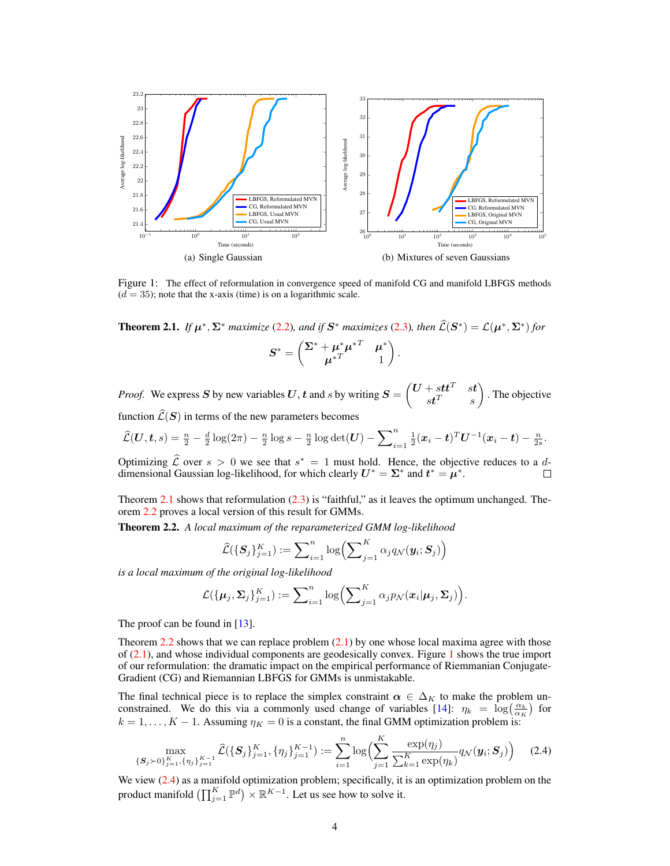

<span id="page-3-2"></span>Figure 1: The effect of reformulation in convergence speed of manifold CG and manifold LBFGS methods  $(d = 35)$ ; note that the x-axis (time) is on a logarithmic scale.

<span id="page-3-0"></span>**Theorem 2.1.** *If*  $\mu^*$ ,  $\Sigma^*$  *maximize* [\(2.2\)](#page-2-2)*, and if*  $S^*$  *maximizes* [\(2.3\)](#page-2-5)*, then*  $\widehat{\mathcal{L}}(S^*) = \mathcal{L}(\mu^*, \Sigma^*)$  for

$$
\boldsymbol{S}^* = \begin{pmatrix} \boldsymbol{\Sigma}^* + \boldsymbol{\mu}^* \boldsymbol{\mu}^{*T} & \boldsymbol{\mu}^* \\ \boldsymbol{\mu}^{*T} & 1 \end{pmatrix}
$$

.

*Proof.* We express S by new variables U, t and s by writing  $S = \begin{pmatrix} U + stt^T & st \\ stT & st \end{pmatrix}$  $st^T$  s . The objective function  $\widehat{\mathcal{L}}(\mathbf{S})$  in terms of the new parameters becomes

$$
\widehat{\mathcal{L}}(\bm{U},\bm{t},s) = \frac{n}{2} - \frac{d}{2}\log(2\pi) - \frac{n}{2}\log s - \frac{n}{2}\log\det(\bm{U}) - \sum_{i=1}^{n} \frac{1}{2}(\bm{x}_i - \bm{t})^T \bm{U}^{-1}(\bm{x}_i - \bm{t}) - \frac{n}{2s}.
$$

Optimizing  $\hat{\mathcal{L}}$  over  $s > 0$  we see that  $s^* = 1$  must hold. Hence, the objective reduces to a ddimensional Gaussian log-likelihood, for which clearly  $U^* = \Sigma^*$  and  $t^* = \mu^*$ .  $\Box$ 

Theorem [2.1](#page-3-0) shows that reformulation  $(2.3)$  is "faithful," as it leaves the optimum unchanged. Theorem [2.2](#page-3-1) proves a local version of this result for GMMs.

<span id="page-3-1"></span>Theorem 2.2. *A local maximum of the reparameterized GMM log-likelihood*

$$
\widehat{\mathcal{L}}(\{\boldsymbol{S}_j\}_{j=1}^K) := \sum\nolimits_{i=1}^n \log \left( \sum\nolimits_{j=1}^K \alpha_j q_{\mathcal{N}}(\boldsymbol{y}_i; \boldsymbol{S}_j) \right)
$$

*is a local maximum of the original log-likelihood*

$$
\mathcal{L}(\{\boldsymbol{\mu}_j, \boldsymbol{\Sigma}_j\}_{j=1}^K) := \sum\nolimits_{i=1}^n \log \left( \sum\nolimits_{j=1}^K \alpha_j p_{\mathcal{N}}(\boldsymbol{x}_i | \boldsymbol{\mu}_j, \boldsymbol{\Sigma}_j) \right).
$$

The proof can be found in [\[13\]](#page-8-26).

Theorem [2.2](#page-3-1) shows that we can replace problem  $(2.1)$  by one whose local maxima agree with those of [\(2.1\)](#page-1-2), and whose individual components are geodesically convex. Figure [1](#page-3-2) shows the true import of our reformulation: the dramatic impact on the empirical performance of Riemmanian Conjugate-Gradient (CG) and Riemannian LBFGS for GMMs is unmistakable.

The final technical piece is to replace the simplex constraint  $\alpha \in \Delta_K$  to make the problem un-constrained. We do this via a commonly used change of variables [\[14\]](#page-8-28):  $\eta_k = \log(\frac{\alpha_k}{\alpha_K})$  for  $k = 1, \ldots, K - 1$ . Assuming  $\eta_K = 0$  is a constant, the final GMM optimization problem is:

<span id="page-3-3"></span>
$$
\max_{\{\mathbf{S}_j \succ 0\}_{j=1}^K, \{\eta_j\}_{j=1}^{K-1}} \widehat{\mathcal{L}}(\{\mathbf{S}_j\}_{j=1}^K, \{\eta_j\}_{j=1}^{K-1}) := \sum_{i=1}^n \log \Bigl(\sum_{j=1}^K \frac{\exp(\eta_j)}{\sum_{k=1}^K \exp(\eta_k)} q_{\mathcal{N}}(\mathbf{y}_i; \mathbf{S}_j)\Bigr) \tag{2.4}
$$

We view [\(2.4\)](#page-3-3) as a manifold optimization problem; specifically, it is an optimization problem on the product manifold  $\left(\prod_{j=1}^K \mathbb{P}^d\right) \times \mathbb{R}^{K-1}$ . Let us see how to solve it.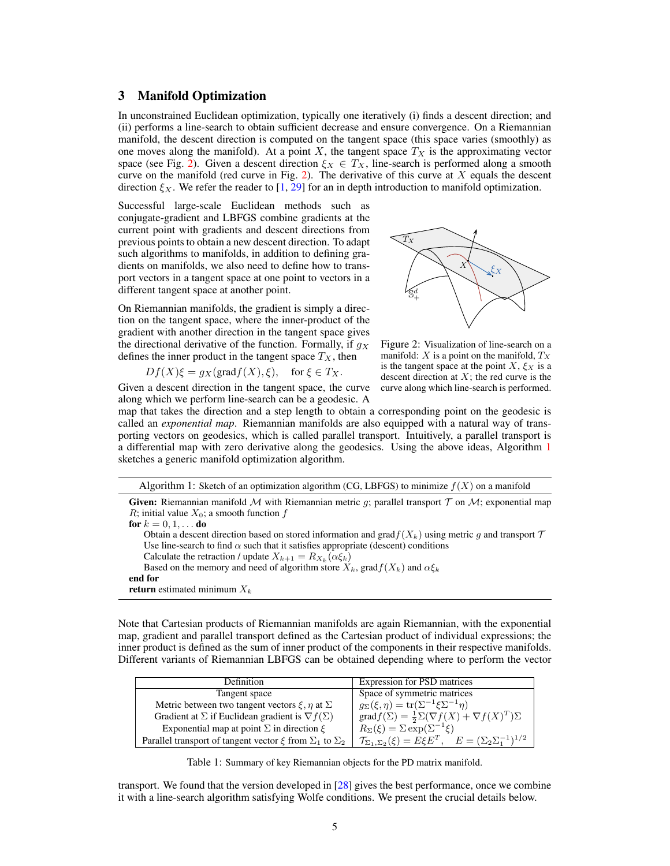# 3 Manifold Optimization

In unconstrained Euclidean optimization, typically one iteratively (i) finds a descent direction; and (ii) performs a line-search to obtain sufficient decrease and ensure convergence. On a Riemannian manifold, the descent direction is computed on the tangent space (this space varies (smoothly) as one moves along the manifold). At a point X, the tangent space  $T_X$  is the approximating vector space (see Fig. [2\)](#page-4-0). Given a descent direction  $\xi_X \in T_X$ , line-search is performed along a smooth curve on the manifold (red curve in Fig. [2\)](#page-4-0). The derivative of this curve at  $X$  equals the descent direction  $\xi_X$ . We refer the reader to [\[1,](#page-8-12) [29\]](#page-8-18) for an in depth introduction to manifold optimization.

Successful large-scale Euclidean methods such as conjugate-gradient and LBFGS combine gradients at the current point with gradients and descent directions from previous points to obtain a new descent direction. To adapt such algorithms to manifolds, in addition to defining gradients on manifolds, we also need to define how to transport vectors in a tangent space at one point to vectors in a different tangent space at another point.

On Riemannian manifolds, the gradient is simply a direction on the tangent space, where the inner-product of the gradient with another direction in the tangent space gives the directional derivative of the function. Formally, if  $g_X$ defines the inner product in the tangent space  $T_X$ , then

$$
Df(X)\xi = g_X(\text{grad}f(X), \xi), \text{ for } \xi \in T_X.
$$

Given a descent direction in the tangent space, the curve along which we perform line-search can be a geodesic. A



<span id="page-4-0"></span>Figure 2: Visualization of line-search on a manifold:  $X$  is a point on the manifold,  $T_X$ is the tangent space at the point  $X, \xi_X$  is a descent direction at  $X$ ; the red curve is the curve along which line-search is performed.

map that takes the direction and a step length to obtain a corresponding point on the geodesic is called an *exponential map*. Riemannian manifolds are also equipped with a natural way of transporting vectors on geodesics, which is called parallel transport. Intuitively, a parallel transport is a differential map with zero derivative along the geodesics. Using the above ideas, Algorithm [1](#page-4-1) sketches a generic manifold optimization algorithm.

<span id="page-4-1"></span>

| Algorithm 1: Sketch of an optimization algorithm (CG, LBFGS) to minimize $f(X)$ on a manifold |  |  |
|-----------------------------------------------------------------------------------------------|--|--|
|                                                                                               |  |  |

**Given:** Riemannian manifold M with Riemannian metric q; parallel transport  $T$  on M; exponential map R; initial value  $X_0$ ; a smooth function f for  $k = 0, 1, \ldots$  do

Obtain a descent direction based on stored information and grad $f(X_k)$  using metric g and transport  $\mathcal T$ Use line-search to find  $\alpha$  such that it satisfies appropriate (descent) conditions

Calculate the retraction / update  $X_{k+1} = R_{X_k}(\alpha \xi_k)$ 

Based on the memory and need of algorithm store  $X_k$ , grad $f(X_k)$  and  $\alpha \xi_k$ end for

return estimated minimum  $X_k$ 

Note that Cartesian products of Riemannian manifolds are again Riemannian, with the exponential map, gradient and parallel transport defined as the Cartesian product of individual expressions; the inner product is defined as the sum of inner product of the components in their respective manifolds. Different variants of Riemannian LBFGS can be obtained depending where to perform the vector

| <b>Definition</b>                                                        | <b>Expression for PSD matrices</b>                                                        |
|--------------------------------------------------------------------------|-------------------------------------------------------------------------------------------|
| Tangent space                                                            | Space of symmetric matrices                                                               |
| Metric between two tangent vectors $\xi$ , $\eta$ at $\Sigma$            | $q_{\Sigma}(\xi, \eta) = \text{tr}(\Sigma^{-1} \xi \Sigma^{-1} \eta)$                     |
| Gradient at $\Sigma$ if Euclidean gradient is $\nabla f(\Sigma)$         | $grad f(\Sigma) = \frac{1}{2}\Sigma (\nabla f(X) + \nabla f(X)^T)\Sigma$                  |
| Exponential map at point $\Sigma$ in direction $\xi$                     | $R_{\Sigma}(\xi) = \Sigma \exp(\Sigma^{-1}\xi)$                                           |
| Parallel transport of tangent vector $\xi$ from $\Sigma_1$ to $\Sigma_2$ | $\mathcal{T}_{\Sigma_1,\Sigma_2}(\xi) = E \xi E^T$ , $E = (\Sigma_2 \Sigma_1^{-1})^{1/2}$ |

Table 1: Summary of key Riemannian objects for the PD matrix manifold.

transport. We found that the version developed in [\[28\]](#page-8-24) gives the best performance, once we combine it with a line-search algorithm satisfying Wolfe conditions. We present the crucial details below.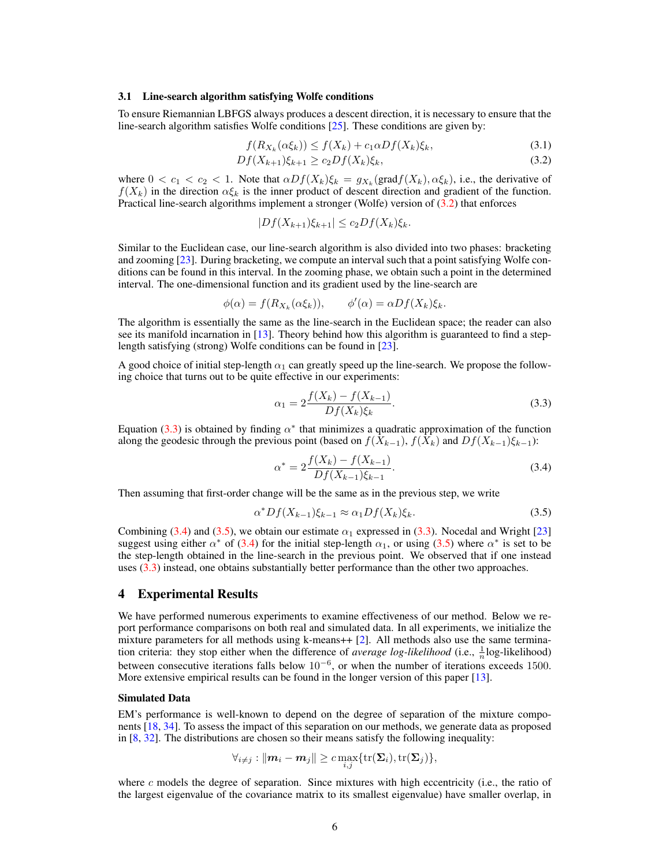#### 3.1 Line-search algorithm satisfying Wolfe conditions

To ensure Riemannian LBFGS always produces a descent direction, it is necessary to ensure that the line-search algorithm satisfies Wolfe conditions [\[25\]](#page-8-25). These conditions are given by:

$$
f(R_{X_k}(\alpha \xi_k)) \le f(X_k) + c_1 \alpha Df(X_k)\xi_k,\tag{3.1}
$$

$$
Df(X_{k+1})\xi_{k+1} \ge c_2 Df(X_k)\xi_k,\tag{3.2}
$$

where  $0 < c_1 < c_2 < 1$ . Note that  $\alpha Df(X_k)\xi_k = g_{X_k}(\text{grad}f(X_k), \alpha \xi_k)$ , i.e., the derivative of  $f(X_k)$  in the direction  $\alpha \xi_k$  is the inner product of descent direction and gradient of the function. Practical line-search algorithms implement a stronger (Wolfe) version of [\(3.2\)](#page-5-0) that enforces

<span id="page-5-0"></span>
$$
|Df(X_{k+1})\xi_{k+1}| \le c_2 Df(X_k)\xi_k.
$$

Similar to the Euclidean case, our line-search algorithm is also divided into two phases: bracketing and zooming [\[23\]](#page-8-29). During bracketing, we compute an interval such that a point satisfying Wolfe conditions can be found in this interval. In the zooming phase, we obtain such a point in the determined interval. The one-dimensional function and its gradient used by the line-search are

$$
\phi(\alpha) = f(R_{X_k}(\alpha \xi_k)), \qquad \phi'(\alpha) = \alpha Df(X_k)\xi_k.
$$

The algorithm is essentially the same as the line-search in the Euclidean space; the reader can also see its manifold incarnation in [\[13\]](#page-8-26). Theory behind how this algorithm is guaranteed to find a steplength satisfying (strong) Wolfe conditions can be found in [\[23\]](#page-8-29).

A good choice of initial step-length  $\alpha_1$  can greatly speed up the line-search. We propose the following choice that turns out to be quite effective in our experiments:

<span id="page-5-1"></span>
$$
\alpha_1 = 2 \frac{f(X_k) - f(X_{k-1})}{Df(X_k)\xi_k}.
$$
\n(3.3)

Equation [\(3.3\)](#page-5-1) is obtained by finding  $\alpha^*$  that minimizes a quadratic approximation of the function along the geodesic through the previous point (based on  $f(X_{k-1}), f(X_k)$  and  $Df(X_{k-1})\xi_{k-1}$ ):

<span id="page-5-2"></span>
$$
\alpha^* = 2 \frac{f(X_k) - f(X_{k-1})}{Df(X_{k-1})\xi_{k-1}}.
$$
\n(3.4)

Then assuming that first-order change will be the same as in the previous step, we write

<span id="page-5-3"></span>
$$
\alpha^* Df(X_{k-1})\xi_{k-1} \approx \alpha_1 Df(X_k)\xi_k. \tag{3.5}
$$

Combining [\(3.4\)](#page-5-2) and [\(3.5\)](#page-5-3), we obtain our estimate  $\alpha_1$  expressed in [\(3.3\)](#page-5-1). Nocedal and Wright [\[23\]](#page-8-29) suggest using either  $\alpha^*$  of [\(3.4\)](#page-5-2) for the initial step-length  $\alpha_1$ , or using [\(3.5\)](#page-5-3) where  $\alpha^*$  is set to be the step-length obtained in the line-search in the previous point. We observed that if one instead uses [\(3.3\)](#page-5-1) instead, one obtains substantially better performance than the other two approaches.

## 4 Experimental Results

We have performed numerous experiments to examine effectiveness of our method. Below we report performance comparisons on both real and simulated data. In all experiments, we initialize the mixture parameters for all methods using k-means++ [\[2\]](#page-8-30). All methods also use the same termination criteria: they stop either when the difference of *average log-likelihood* (i.e.,  $\frac{1}{n}$ log-likelihood) between consecutive iterations falls below 10<sup>-6</sup>, or when the number of iterations exceeds 1500. More extensive empirical results can be found in the longer version of this paper [\[13\]](#page-8-26).

#### Simulated Data

EM's performance is well-known to depend on the degree of separation of the mixture components [\[18,](#page-8-15) [34\]](#page-8-7). To assess the impact of this separation on our methods, we generate data as proposed in [\[8,](#page-8-31) [32\]](#page-8-32). The distributions are chosen so their means satisfy the following inequality:

$$
\forall_{i\neq j}: \|{\boldsymbol m}_i-{\boldsymbol m}_j\|\geq c\max_{i,j}\{\operatorname{tr}(\boldsymbol \Sigma_i), \operatorname{tr}(\boldsymbol \Sigma_j)\},
$$

where  $c$  models the degree of separation. Since mixtures with high eccentricity (i.e., the ratio of the largest eigenvalue of the covariance matrix to its smallest eigenvalue) have smaller overlap, in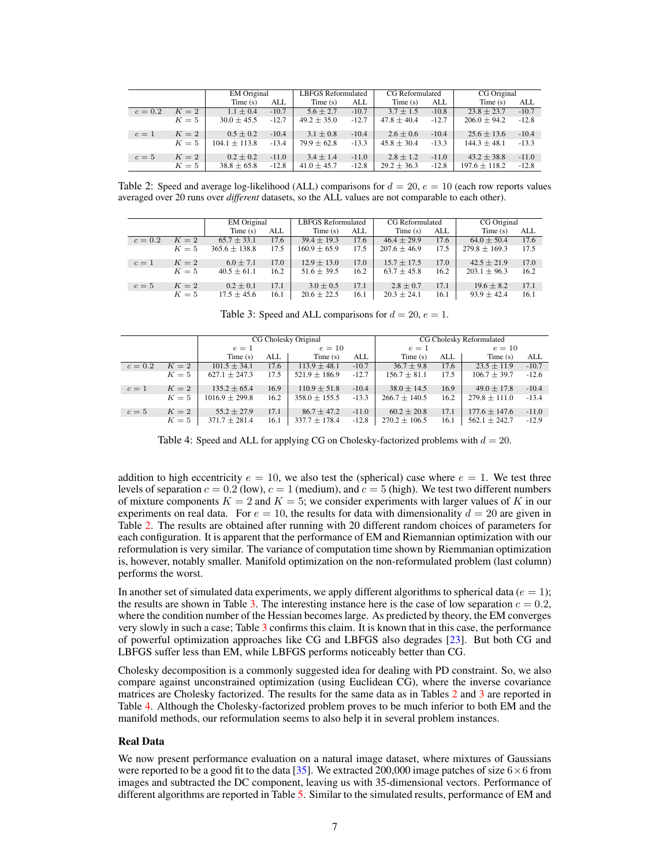|         |       | <b>EM</b> Original |         | <b>LBFGS Reformulated</b> |         | <b>CG</b> Reformulated |         | CG Original       |         |
|---------|-------|--------------------|---------|---------------------------|---------|------------------------|---------|-------------------|---------|
|         |       | Time(s)<br>ALL     |         | Time(s)                   | ALL     | Time(s)                | ALL     | Time $(s)$        | ALL     |
| $c=0.2$ | $K=2$ | $1.1 \pm 0.4$      | $-10.7$ | $5.6 \pm 2.7$             | $-10.7$ | $3.7 \pm 1.5$          | $-10.8$ | $23.8 \pm 23.7$   | $-10.7$ |
|         | $K=5$ | $30.0 \pm 45.5$    | $-12.7$ | $49.2 \pm 35.0$           | $-12.7$ | $47.8 \pm 40.4$        | $-12.7$ | $206.0 \pm 94.2$  | $-12.8$ |
| $c=1$   | $K=2$ | $0.5 \pm 0.2$      | $-10.4$ | $3.1 \pm 0.8$             | $-10.4$ | $2.6 \pm 0.6$          | $-10.4$ | $25.6 \pm 13.6$   | $-10.4$ |
|         | $K=5$ | $104.1 \pm 113.8$  | $-13.4$ | $79.9 \pm 62.8$           | $-13.3$ | $45.8 \pm 30.4$        | $-13.3$ | $144.3 \pm 48.1$  | $-13.3$ |
| $c=5$   | $K=2$ | $0.2 \pm 0.2$      | $-11.0$ | $3.4 \pm 1.4$             | $-11.0$ | $2.8 \pm 1.2$          | $-11.0$ | $43.2 \pm 38.8$   | $-11.0$ |
|         | $K=5$ | $38.8 \pm 65.8$    | $-12.8$ | $41.0 \pm 45.7$           | $-12.8$ | $29.2 \pm 36.3$        | $-12.8$ | $197.6 \pm 118.2$ | $-12.8$ |

<span id="page-6-0"></span>Table 2: Speed and average log-likelihood (ALL) comparisons for  $d = 20$ ,  $e = 10$  (each row reports values averaged over 20 runs over *different* datasets, so the ALL values are not comparable to each other).

|         |       | <b>EM</b> Original |      | <b>LBFGS Reformulated</b> |      | <b>CG</b> Reformulated |      | CG Original       |      |
|---------|-------|--------------------|------|---------------------------|------|------------------------|------|-------------------|------|
|         |       | Time $(s)$<br>ALL  |      | Time $(s)$                | ALL  | Time $(s)$             | ALL  | Time(s)           | ALL  |
| $c=0.2$ | $K=2$ | $65.7 \pm 33.1$    | 17.6 | $39.4 \pm 19.3$           | 17.6 | $46.4 \pm 29.9$        | 17.6 | $64.0 \pm 50.4$   | 17.6 |
|         | $K=5$ | $365.6 \pm 138.8$  | 17.5 | $160.9 \pm 65.9$          | 17.5 | $207.6 \pm 46.9$       | 17.5 | $279.8 \pm 169.3$ | 17.5 |
| $c=1$   | $K=2$ | $6.0 \pm 7.1$      | 17.0 | $12.9 \pm 13.0$           | 17.0 | $15.7 \pm 17.5$        | 17.0 | $42.5 \pm 21.9$   | 17.0 |
|         | $K=5$ | $40.5 \pm 61.1$    | 16.2 | $51.6 \pm 39.5$           | 16.2 | $63.7 \pm 45.8$        | 16.2 | $203.1 \pm 96.3$  | 16.2 |
| $c=5$   | $K=2$ | $0.2 \pm 0.1$      | 17.1 | $3.0 \pm 0.5$             | 17.1 | $2.8 \pm 0.7$          | 17.1 | $19.6 \pm 8.2$    | 17.1 |
|         | $K=5$ | $17.5 \pm 45.6$    | 16.1 | $20.6 \pm 22.5$           | 16.1 | $20.3 \pm 24.1$        | 16.1 | $93.9 \pm 42.4$   | 16.1 |

<span id="page-6-1"></span>Table 3: Speed and ALL comparisons for  $d = 20$ ,  $e = 1$ .

|         |       |                    |      | CG Cholesky Original | CG Cholesky Reformulated |                   |      |                   |         |  |  |
|---------|-------|--------------------|------|----------------------|--------------------------|-------------------|------|-------------------|---------|--|--|
|         |       | $e=1$              |      | $e=10$               |                          | $e=1$             |      | $e=10$            |         |  |  |
|         |       | Time $(s)$         | ALL  | Time(s)              | ALL                      | Time(s)           | ALL  | Time(s)           | ALL     |  |  |
| $c=0.2$ | $K=2$ | $101.5 \pm 34.1$   | 17.6 | $113.9 \pm 48.1$     | $-10.7$                  | $36.7 \pm 9.8$    | 17.6 | $23.5 \pm 11.9$   | $-10.7$ |  |  |
|         | $K=5$ | $627.1 \pm 247.3$  | 17.5 | $521.9 \pm 186.9$    | $-12.7$                  | $156.7 \pm 81.1$  | 17.5 | $106.7 \pm 39.7$  | $-12.6$ |  |  |
| $c=1$   | $K=2$ | $135.2 \pm 65.4$   | 16.9 | $110.9 \pm 51.8$     | $-10.4$                  | $38.0 \pm 14.5$   | 16.9 | $49.0 \pm 17.8$   | $-10.4$ |  |  |
|         | $K=5$ | $1016.9 \pm 299.8$ | 16.2 | $358.0 \pm 155.5$    | $-13.3$                  | $266.7 \pm 140.5$ | 16.2 | $279.8 \pm 111.0$ | $-13.4$ |  |  |
| $c=5$   | $K=2$ | $55.2 \pm 27.9$    | 17.1 | $86.7 \pm 47.2$      | $-11.0$                  | $60.2 \pm 20.8$   | 17.1 | $177.6 \pm 147.6$ | $-11.0$ |  |  |
|         | $K=5$ | $371.7 \pm 281.4$  | 16.1 | $337.7 \pm 178.4$    | $-12.8$                  | $270.2 \pm 106.5$ | 16.1 | $562.1 \pm 242.7$ | $-12.9$ |  |  |

<span id="page-6-2"></span>Table 4: Speed and ALL for applying CG on Cholesky-factorized problems with  $d = 20$ .

addition to high eccentricity  $e = 10$ , we also test the (spherical) case where  $e = 1$ . We test three levels of separation  $c = 0.2$  (low),  $c = 1$  (medium), and  $c = 5$  (high). We test two different numbers of mixture components  $K = 2$  and  $K = 5$ ; we consider experiments with larger values of K in our experiments on real data. For  $e = 10$ , the results for data with dimensionality  $d = 20$  are given in Table [2.](#page-6-0) The results are obtained after running with 20 different random choices of parameters for each configuration. It is apparent that the performance of EM and Riemannian optimization with our reformulation is very similar. The variance of computation time shown by Riemmanian optimization is, however, notably smaller. Manifold optimization on the non-reformulated problem (last column) performs the worst.

In another set of simulated data experiments, we apply different algorithms to spherical data ( $e = 1$ ); the results are shown in Table [3.](#page-6-1) The interesting instance here is the case of low separation  $c = 0.2$ , where the condition number of the Hessian becomes large. As predicted by theory, the EM converges very slowly in such a case; Table [3](#page-6-1) confirms this claim. It is known that in this case, the performance of powerful optimization approaches like CG and LBFGS also degrades [\[23\]](#page-8-29). But both CG and LBFGS suffer less than EM, while LBFGS performs noticeably better than CG.

Cholesky decomposition is a commonly suggested idea for dealing with PD constraint. So, we also compare against unconstrained optimization (using Euclidean CG), where the inverse covariance matrices are Cholesky factorized. The results for the same data as in Tables [2](#page-6-0) and [3](#page-6-1) are reported in Table [4.](#page-6-2) Although the Cholesky-factorized problem proves to be much inferior to both EM and the manifold methods, our reformulation seems to also help it in several problem instances.

#### Real Data

We now present performance evaluation on a natural image dataset, where mixtures of Gaussians were reported to be a good fit to the data [\[35\]](#page-8-33). We extracted 200,000 image patches of size  $6 \times 6$  from images and subtracted the DC component, leaving us with 35-dimensional vectors. Performance of different algorithms are reported in Table [5.](#page-7-0) Similar to the simulated results, performance of EM and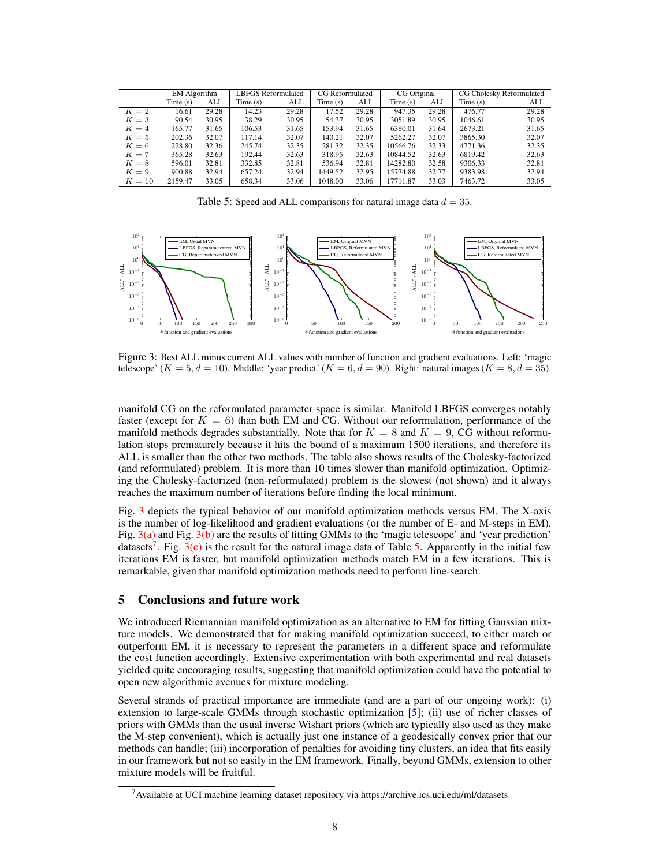|        | <b>EM</b> Algorithm |       |         | LBFGS Reformulated |         | CG Reformulated |          | <b>CG</b> Original |         | CG Cholesky Reformulated |  |
|--------|---------------------|-------|---------|--------------------|---------|-----------------|----------|--------------------|---------|--------------------------|--|
|        | Time(s)             | ALL   | Time(s) | ALL                | Time(s) | ALL             | Time(s)  | ALL                | Time(s) | ALL                      |  |
| $K=2$  | 16.61               | 29.28 | 14.23   | 29.28              | 17.52   | 29.28           | 947.35   | 29.28              | 476.77  | 29.28                    |  |
| $K=3$  | 90.54               | 30.95 | 38.29   | 30.95              | 54.37   | 30.95           | 3051.89  | 30.95              | 1046.61 | 30.95                    |  |
| $K=4$  | 165.77              | 31.65 | 106.53  | 31.65              | 153.94  | 31.65           | 6380.01  | 31.64              | 2673.21 | 31.65                    |  |
| $K=5$  | 202.36              | 32.07 | 117.14  | 32.07              | 140.21  | 32.07           | 5262.27  | 32.07              | 3865.30 | 32.07                    |  |
| $K=6$  | 228.80              | 32.36 | 245.74  | 32.35              | 281.32  | 32.35           | 10566.76 | 32.33              | 4771.36 | 32.35                    |  |
| $K=7$  | 365.28              | 32.63 | 192.44  | 32.63              | 318.95  | 32.63           | 10844.52 | 32.63              | 6819.42 | 32.63                    |  |
| $K=8$  | 596.01              | 32.81 | 332.85  | 32.81              | 536.94  | 32.81           | 14282.80 | 32.58              | 9306.33 | 32.81                    |  |
| $K=9$  | 900.88              | 32.94 | 657.24  | 32.94              | 1449.52 | 32.95           | 15774.88 | 32.77              | 9383.98 | 32.94                    |  |
| $K=10$ | 2159.47             | 33.05 | 658.34  | 33.06              | 1048.00 | 33.06           | 17711.87 | 33.03              | 7463.72 | 33.05                    |  |

<span id="page-7-5"></span><span id="page-7-3"></span><span id="page-7-0"></span>Table 5: Speed and ALL comparisons for natural image data  $d = 35$ .

<span id="page-7-2"></span>

<span id="page-7-1"></span>Figure 3: Best ALL minus current ALL values with number of function and gradient evaluations. Left: 'magic telescope'  $(K = 5, d = 10)$ . Middle: 'year predict'  $(K = 6, d = 90)$ . Right: natural images  $(K = 8, d = 35)$ .

manifold CG on the reformulated parameter space is similar. Manifold LBFGS converges notably faster (except for  $K = 6$ ) than both EM and CG. Without our reformulation, performance of the manifold methods degrades substantially. Note that for  $K = 8$  and  $K = 9$ , CG without reformulation stops prematurely because it hits the bound of a maximum 1500 iterations, and therefore its ALL is smaller than the other two methods. The table also shows results of the Cholesky-factorized (and reformulated) problem. It is more than 10 times slower than manifold optimization. Optimizing the Cholesky-factorized (non-reformulated) problem is the slowest (not shown) and it always reaches the maximum number of iterations before finding the local minimum.

Fig. [3](#page-7-1) depicts the typical behavior of our manifold optimization methods versus EM. The X-axis is the number of log-likelihood and gradient evaluations (or the number of E- and M-steps in EM). Fig. [3\(a\)](#page-7-2) and Fig. [3\(b\)](#page-7-3) are the results of fitting GMMs to the 'magic telescope' and 'year prediction' datasets<sup>[7](#page-7-4)</sup>. Fig.  $3(c)$  is the result for the natural image data of Table [5.](#page-7-0) Apparently in the initial few iterations EM is faster, but manifold optimization methods match EM in a few iterations. This is remarkable, given that manifold optimization methods need to perform line-search.

## 5 Conclusions and future work

We introduced Riemannian manifold optimization as an alternative to EM for fitting Gaussian mixture models. We demonstrated that for making manifold optimization succeed, to either match or outperform EM, it is necessary to represent the parameters in a different space and reformulate the cost function accordingly. Extensive experimentation with both experimental and real datasets yielded quite encouraging results, suggesting that manifold optimization could have the potential to open new algorithmic avenues for mixture modeling.

Several strands of practical importance are immediate (and are a part of our ongoing work): (i) extension to large-scale GMMs through stochastic optimization [\[5\]](#page-8-34); (ii) use of richer classes of priors with GMMs than the usual inverse Wishart priors (which are typically also used as they make the M-step convenient), which is actually just one instance of a geodesically convex prior that our methods can handle; (iii) incorporation of penalties for avoiding tiny clusters, an idea that fits easily in our framework but not so easily in the EM framework. Finally, beyond GMMs, extension to other mixture models will be fruitful.

<span id="page-7-4"></span><sup>7</sup>Available at UCI machine learning dataset repository via https://archive.ics.uci.edu/ml/datasets